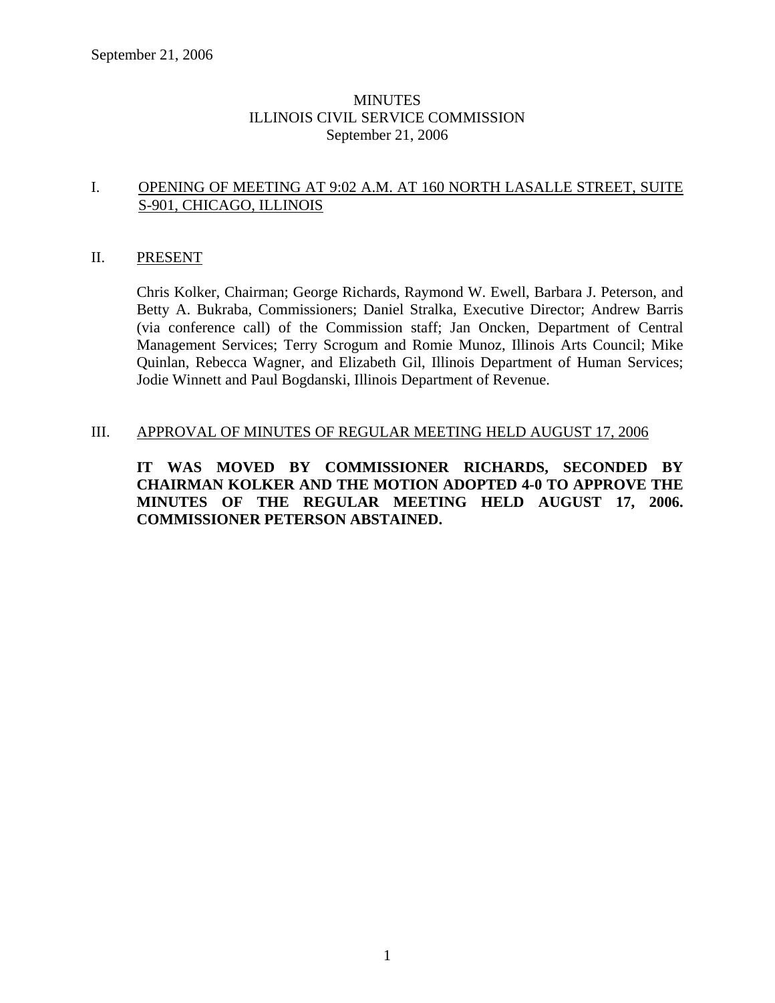# **MINUTES** ILLINOIS CIVIL SERVICE COMMISSION September 21, 2006

## I. OPENING OF MEETING AT 9:02 A.M. AT 160 NORTH LASALLE STREET, SUITE S-901, CHICAGO, ILLINOIS

## II. PRESENT

Chris Kolker, Chairman; George Richards, Raymond W. Ewell, Barbara J. Peterson, and Betty A. Bukraba, Commissioners; Daniel Stralka, Executive Director; Andrew Barris (via conference call) of the Commission staff; Jan Oncken, Department of Central Management Services; Terry Scrogum and Romie Munoz, Illinois Arts Council; Mike Quinlan, Rebecca Wagner, and Elizabeth Gil, Illinois Department of Human Services; Jodie Winnett and Paul Bogdanski, Illinois Department of Revenue.

## III. APPROVAL OF MINUTES OF REGULAR MEETING HELD AUGUST 17, 2006

**IT WAS MOVED BY COMMISSIONER RICHARDS, SECONDED BY CHAIRMAN KOLKER AND THE MOTION ADOPTED 4-0 TO APPROVE THE MINUTES OF THE REGULAR MEETING HELD AUGUST 17, 2006. COMMISSIONER PETERSON ABSTAINED.**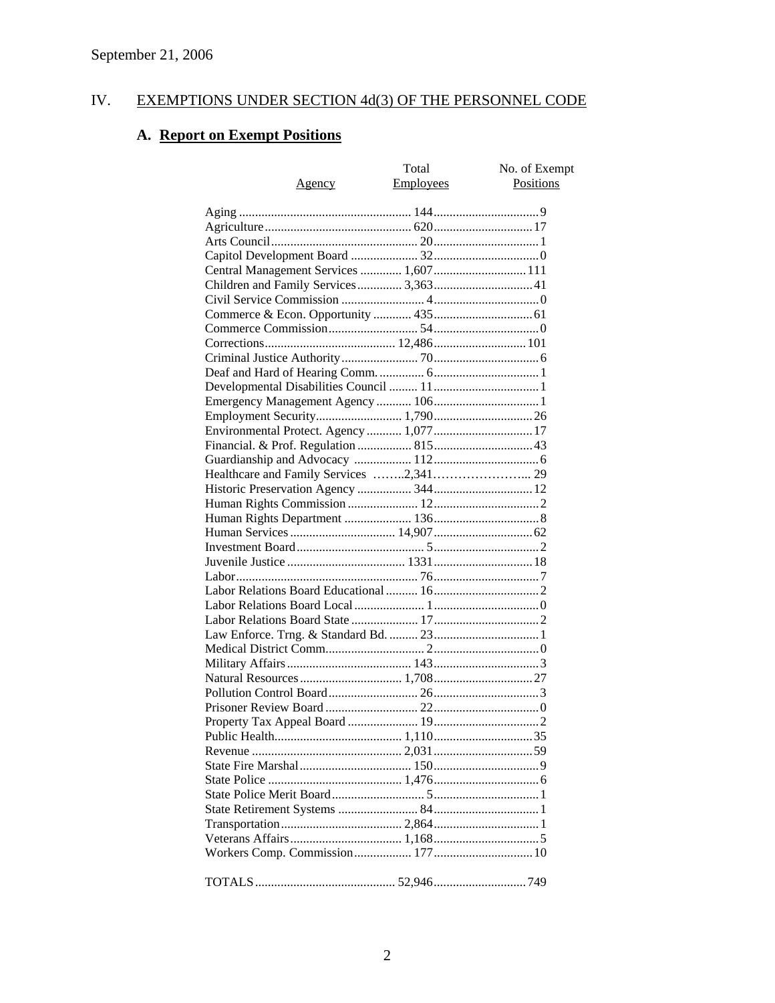# IV. EXEMPTIONS UNDER SECTION 4d(3) OF THE PERSONNEL CODE

# **A. Report on Exempt Positions**

| Agency                                   | Total<br>Employees | No. of Exempt<br>Positions |
|------------------------------------------|--------------------|----------------------------|
|                                          |                    |                            |
|                                          |                    |                            |
|                                          |                    |                            |
|                                          |                    |                            |
| Central Management Services  1,607  111  |                    |                            |
|                                          |                    |                            |
|                                          |                    |                            |
|                                          |                    |                            |
|                                          |                    |                            |
|                                          |                    |                            |
|                                          |                    |                            |
|                                          |                    |                            |
|                                          |                    |                            |
|                                          |                    |                            |
|                                          |                    |                            |
|                                          |                    |                            |
| Environmental Protect. Agency  1,077  17 |                    |                            |
|                                          |                    |                            |
|                                          |                    |                            |
|                                          |                    |                            |
|                                          |                    |                            |
|                                          |                    |                            |
|                                          |                    |                            |
|                                          |                    |                            |
|                                          |                    |                            |
|                                          |                    |                            |
|                                          |                    |                            |
|                                          |                    |                            |
|                                          |                    |                            |
|                                          |                    |                            |
|                                          |                    |                            |
|                                          |                    |                            |
|                                          |                    |                            |
|                                          |                    |                            |
|                                          |                    |                            |
|                                          |                    |                            |
|                                          |                    |                            |
|                                          |                    |                            |
|                                          |                    |                            |
|                                          |                    |                            |
|                                          |                    |                            |
|                                          |                    |                            |
|                                          |                    |                            |
|                                          |                    |                            |
|                                          |                    |                            |
|                                          |                    |                            |
|                                          |                    |                            |
|                                          |                    |                            |
|                                          |                    |                            |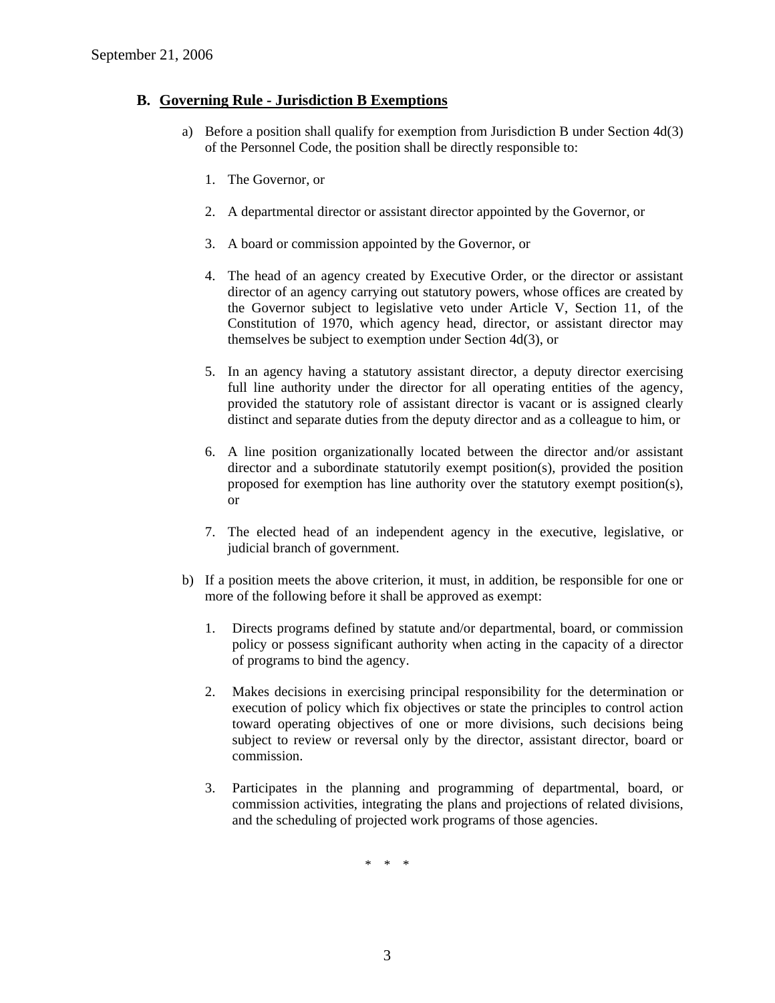### **B. Governing Rule - Jurisdiction B Exemptions**

- a) Before a position shall qualify for exemption from Jurisdiction B under Section 4d(3) of the Personnel Code, the position shall be directly responsible to:
	- 1. The Governor, or
	- 2. A departmental director or assistant director appointed by the Governor, or
	- 3. A board or commission appointed by the Governor, or
	- 4. The head of an agency created by Executive Order, or the director or assistant director of an agency carrying out statutory powers, whose offices are created by the Governor subject to legislative veto under Article V, Section 11, of the Constitution of 1970, which agency head, director, or assistant director may themselves be subject to exemption under Section 4d(3), or
	- 5. In an agency having a statutory assistant director, a deputy director exercising full line authority under the director for all operating entities of the agency, provided the statutory role of assistant director is vacant or is assigned clearly distinct and separate duties from the deputy director and as a colleague to him, or
	- 6. A line position organizationally located between the director and/or assistant director and a subordinate statutorily exempt position(s), provided the position proposed for exemption has line authority over the statutory exempt position(s), or
	- 7. The elected head of an independent agency in the executive, legislative, or judicial branch of government.
- b) If a position meets the above criterion, it must, in addition, be responsible for one or more of the following before it shall be approved as exempt:
	- 1. Directs programs defined by statute and/or departmental, board, or commission policy or possess significant authority when acting in the capacity of a director of programs to bind the agency.
	- 2. Makes decisions in exercising principal responsibility for the determination or execution of policy which fix objectives or state the principles to control action toward operating objectives of one or more divisions, such decisions being subject to review or reversal only by the director, assistant director, board or commission.
	- 3. Participates in the planning and programming of departmental, board, or commission activities, integrating the plans and projections of related divisions, and the scheduling of projected work programs of those agencies.

\* \* \*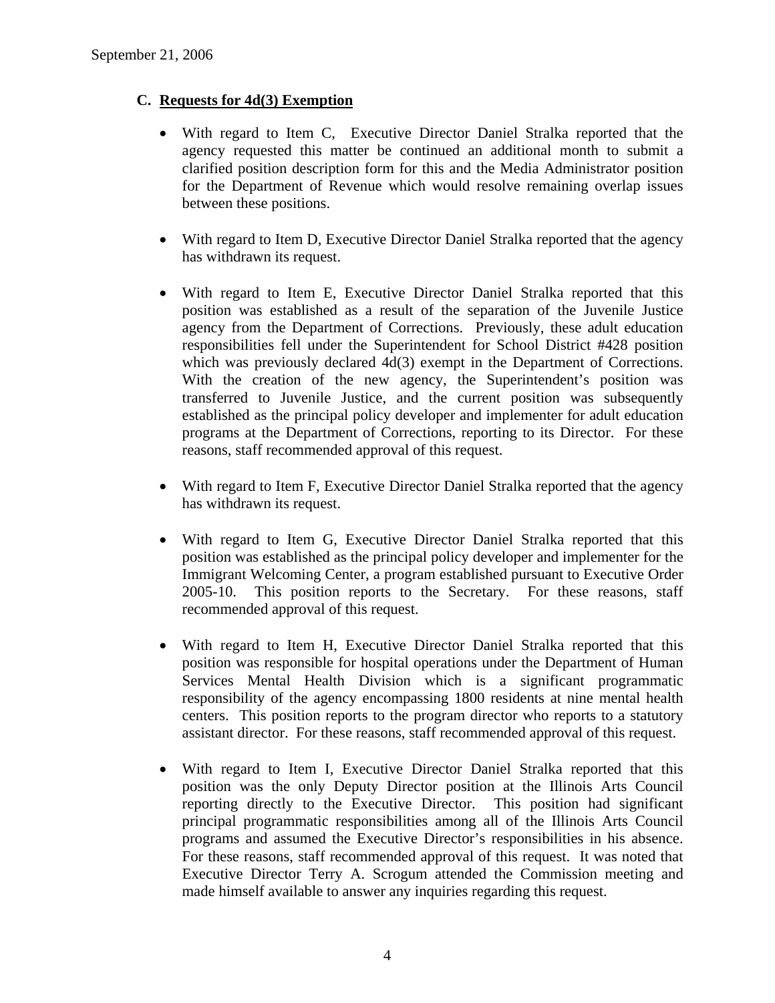# **C. Requests for 4d(3) Exemption**

- With regard to Item C, Executive Director Daniel Stralka reported that the agency requested this matter be continued an additional month to submit a clarified position description form for this and the Media Administrator position for the Department of Revenue which would resolve remaining overlap issues between these positions.
- With regard to Item D, Executive Director Daniel Stralka reported that the agency has withdrawn its request.
- With regard to Item E, Executive Director Daniel Stralka reported that this position was established as a result of the separation of the Juvenile Justice agency from the Department of Corrections. Previously, these adult education responsibilities fell under the Superintendent for School District #428 position which was previously declared  $4d(3)$  exempt in the Department of Corrections. With the creation of the new agency, the Superintendent's position was transferred to Juvenile Justice, and the current position was subsequently established as the principal policy developer and implementer for adult education programs at the Department of Corrections, reporting to its Director. For these reasons, staff recommended approval of this request.
- With regard to Item F, Executive Director Daniel Stralka reported that the agency has withdrawn its request.
- With regard to Item G, Executive Director Daniel Stralka reported that this position was established as the principal policy developer and implementer for the Immigrant Welcoming Center, a program established pursuant to Executive Order 2005-10. This position reports to the Secretary. For these reasons, staff recommended approval of this request.
- With regard to Item H, Executive Director Daniel Stralka reported that this position was responsible for hospital operations under the Department of Human Services Mental Health Division which is a significant programmatic responsibility of the agency encompassing 1800 residents at nine mental health centers. This position reports to the program director who reports to a statutory assistant director. For these reasons, staff recommended approval of this request.
- With regard to Item I, Executive Director Daniel Stralka reported that this position was the only Deputy Director position at the Illinois Arts Council reporting directly to the Executive Director. This position had significant principal programmatic responsibilities among all of the Illinois Arts Council programs and assumed the Executive Director's responsibilities in his absence. For these reasons, staff recommended approval of this request. It was noted that Executive Director Terry A. Scrogum attended the Commission meeting and made himself available to answer any inquiries regarding this request.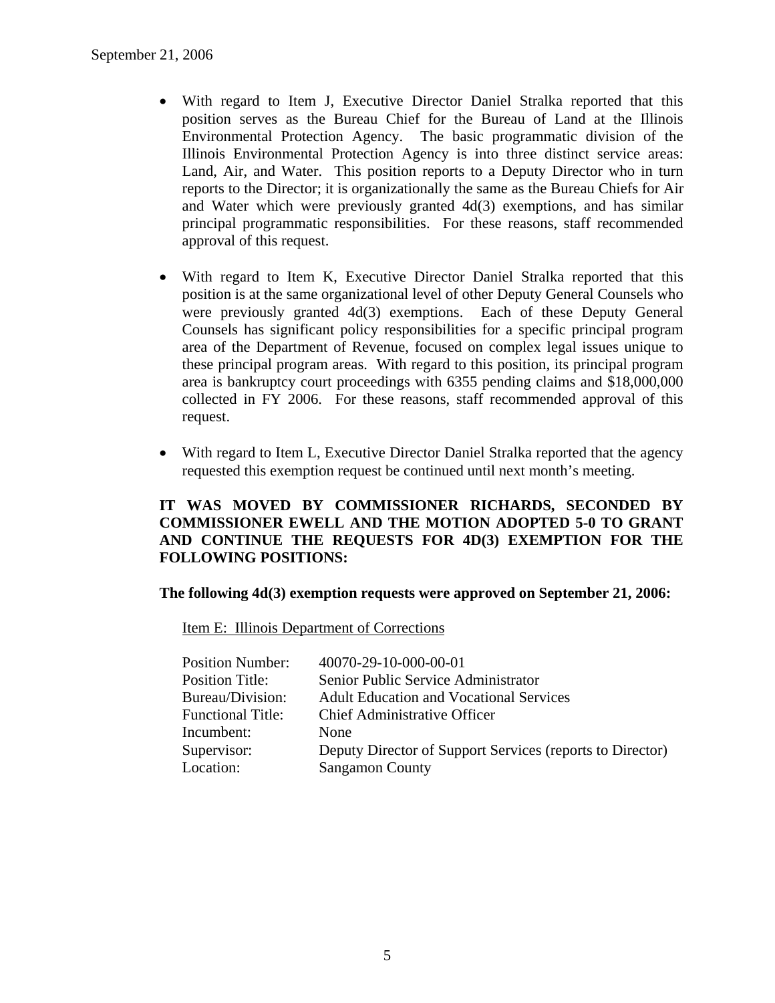- With regard to Item J, Executive Director Daniel Stralka reported that this position serves as the Bureau Chief for the Bureau of Land at the Illinois Environmental Protection Agency. The basic programmatic division of the Illinois Environmental Protection Agency is into three distinct service areas: Land, Air, and Water. This position reports to a Deputy Director who in turn reports to the Director; it is organizationally the same as the Bureau Chiefs for Air and Water which were previously granted 4d(3) exemptions, and has similar principal programmatic responsibilities. For these reasons, staff recommended approval of this request.
- With regard to Item K, Executive Director Daniel Stralka reported that this position is at the same organizational level of other Deputy General Counsels who were previously granted 4d(3) exemptions. Each of these Deputy General Counsels has significant policy responsibilities for a specific principal program area of the Department of Revenue, focused on complex legal issues unique to these principal program areas. With regard to this position, its principal program area is bankruptcy court proceedings with 6355 pending claims and \$18,000,000 collected in FY 2006. For these reasons, staff recommended approval of this request.
- With regard to Item L, Executive Director Daniel Stralka reported that the agency requested this exemption request be continued until next month's meeting.

# **IT WAS MOVED BY COMMISSIONER RICHARDS, SECONDED BY COMMISSIONER EWELL AND THE MOTION ADOPTED 5-0 TO GRANT AND CONTINUE THE REQUESTS FOR 4D(3) EXEMPTION FOR THE FOLLOWING POSITIONS:**

**The following 4d(3) exemption requests were approved on September 21, 2006:** 

Item E: Illinois Department of Corrections

| <b>Position Number:</b>  | 40070-29-10-000-00-01                                     |
|--------------------------|-----------------------------------------------------------|
| <b>Position Title:</b>   | Senior Public Service Administrator                       |
| Bureau/Division:         | <b>Adult Education and Vocational Services</b>            |
| <b>Functional Title:</b> | <b>Chief Administrative Officer</b>                       |
| Incumbent:               | <b>None</b>                                               |
| Supervisor:              | Deputy Director of Support Services (reports to Director) |
| Location:                | <b>Sangamon County</b>                                    |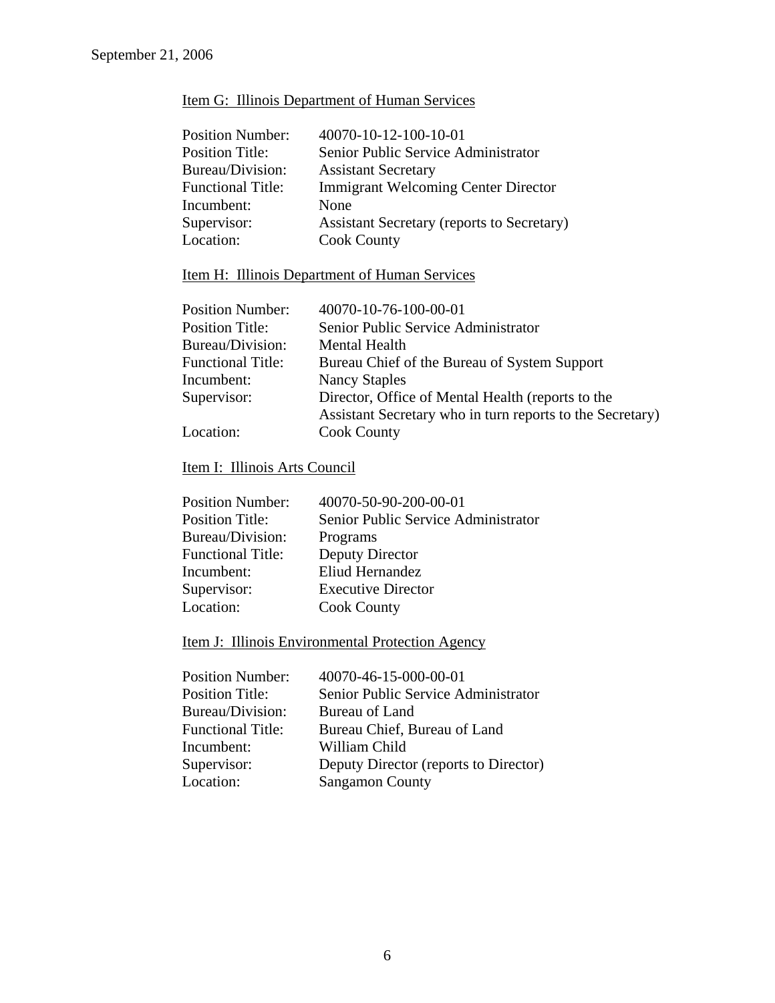# Item G: Illinois Department of Human Services

| <b>Position Number:</b>  | 40070-10-12-100-10-01                      |
|--------------------------|--------------------------------------------|
| <b>Position Title:</b>   | Senior Public Service Administrator        |
| Bureau/Division:         | <b>Assistant Secretary</b>                 |
| <b>Functional Title:</b> | <b>Immigrant Welcoming Center Director</b> |
| Incumbent:               | None                                       |
| Supervisor:              | Assistant Secretary (reports to Secretary) |
| Location:                | <b>Cook County</b>                         |

# Item H: Illinois Department of Human Services

| <b>Position Number:</b>  |                      | 40070-10-76-100-00-01                                     |
|--------------------------|----------------------|-----------------------------------------------------------|
| <b>Position Title:</b>   |                      | Senior Public Service Administrator                       |
| Bureau/Division:         | <b>Mental Health</b> |                                                           |
| <b>Functional Title:</b> |                      | Bureau Chief of the Bureau of System Support              |
| Incumbent:               | <b>Nancy Staples</b> |                                                           |
| Supervisor:              |                      | Director, Office of Mental Health (reports to the         |
|                          |                      | Assistant Secretary who in turn reports to the Secretary) |
| Location:                | <b>Cook County</b>   |                                                           |

# Item I: Illinois Arts Council

| 40070-50-90-200-00-01               |
|-------------------------------------|
| Senior Public Service Administrator |
| Programs                            |
| Deputy Director                     |
| Eliud Hernandez                     |
| <b>Executive Director</b>           |
| <b>Cook County</b>                  |
|                                     |

# Item J: Illinois Environmental Protection Agency

| <b>Position Number:</b>  | 40070-46-15-000-00-01                 |
|--------------------------|---------------------------------------|
| <b>Position Title:</b>   | Senior Public Service Administrator   |
| Bureau/Division:         | Bureau of Land                        |
| <b>Functional Title:</b> | Bureau Chief, Bureau of Land          |
| Incumbent:               | William Child                         |
| Supervisor:              | Deputy Director (reports to Director) |
| Location:                | <b>Sangamon County</b>                |
|                          |                                       |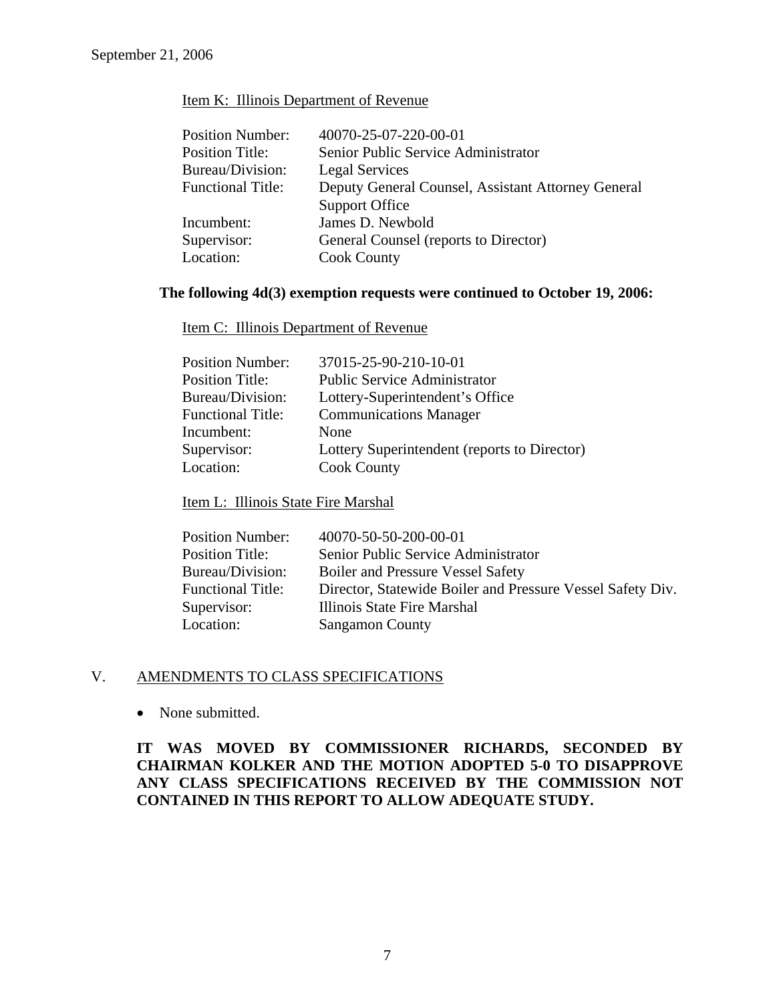#### Item K: Illinois Department of Revenue

| 40070-25-07-220-00-01                              |
|----------------------------------------------------|
| Senior Public Service Administrator                |
| Legal Services                                     |
| Deputy General Counsel, Assistant Attorney General |
| <b>Support Office</b>                              |
| James D. Newbold                                   |
| General Counsel (reports to Director)              |
| <b>Cook County</b>                                 |
|                                                    |

#### **The following 4d(3) exemption requests were continued to October 19, 2006:**

Item C: Illinois Department of Revenue

| 37015-25-90-210-10-01                        |
|----------------------------------------------|
| <b>Public Service Administrator</b>          |
| Lottery-Superintendent's Office              |
| <b>Communications Manager</b>                |
| None                                         |
| Lottery Superintendent (reports to Director) |
| <b>Cook County</b>                           |
|                                              |

Item L: Illinois State Fire Marshal

| 40070-50-50-200-00-01                                      |
|------------------------------------------------------------|
| Senior Public Service Administrator                        |
| <b>Boiler and Pressure Vessel Safety</b>                   |
| Director, Statewide Boiler and Pressure Vessel Safety Div. |
| Illinois State Fire Marshal                                |
| <b>Sangamon County</b>                                     |
|                                                            |

## V. AMENDMENTS TO CLASS SPECIFICATIONS

• None submitted.

# **IT WAS MOVED BY COMMISSIONER RICHARDS, SECONDED BY CHAIRMAN KOLKER AND THE MOTION ADOPTED 5-0 TO DISAPPROVE ANY CLASS SPECIFICATIONS RECEIVED BY THE COMMISSION NOT CONTAINED IN THIS REPORT TO ALLOW ADEQUATE STUDY.**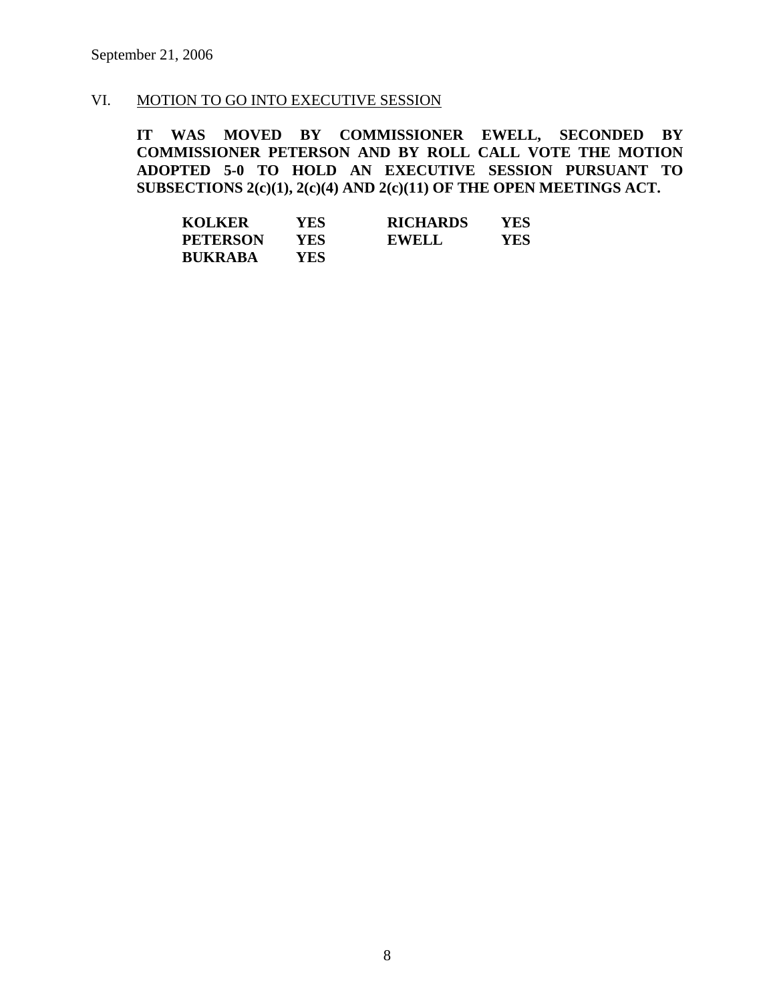# VI. MOTION TO GO INTO EXECUTIVE SESSION

**IT WAS MOVED BY COMMISSIONER EWELL, SECONDED BY COMMISSIONER PETERSON AND BY ROLL CALL VOTE THE MOTION ADOPTED 5-0 TO HOLD AN EXECUTIVE SESSION PURSUANT TO SUBSECTIONS 2(c)(1), 2(c)(4) AND 2(c)(11) OF THE OPEN MEETINGS ACT.** 

| <b>KOLKER</b>   | YES | <b>RICHARDS</b> | YES |
|-----------------|-----|-----------------|-----|
| <b>PETERSON</b> | YES | <b>EWELL</b>    | YES |
| <b>BUKRABA</b>  | YES |                 |     |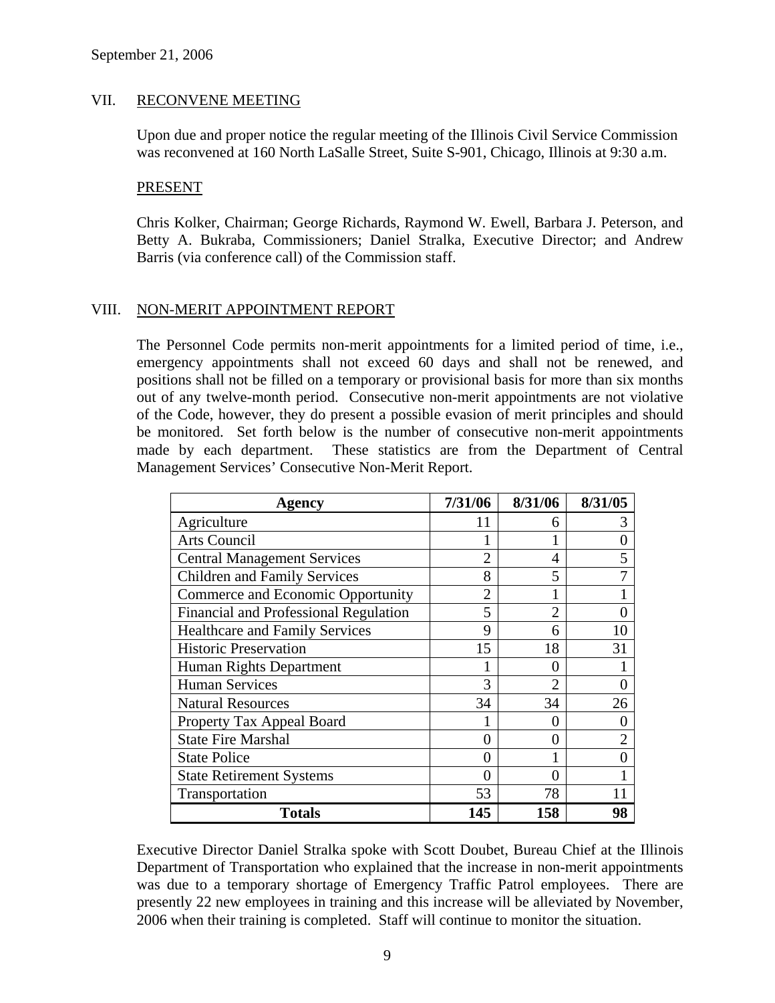#### VII. RECONVENE MEETING

Upon due and proper notice the regular meeting of the Illinois Civil Service Commission was reconvened at 160 North LaSalle Street, Suite S-901, Chicago, Illinois at 9:30 a.m.

#### PRESENT

Chris Kolker, Chairman; George Richards, Raymond W. Ewell, Barbara J. Peterson, and Betty A. Bukraba, Commissioners; Daniel Stralka, Executive Director; and Andrew Barris (via conference call) of the Commission staff.

#### VIII. NON-MERIT APPOINTMENT REPORT

The Personnel Code permits non-merit appointments for a limited period of time, i.e., emergency appointments shall not exceed 60 days and shall not be renewed, and positions shall not be filled on a temporary or provisional basis for more than six months out of any twelve-month period. Consecutive non-merit appointments are not violative of the Code, however, they do present a possible evasion of merit principles and should be monitored. Set forth below is the number of consecutive non-merit appointments made by each department. These statistics are from the Department of Central Management Services' Consecutive Non-Merit Report.

| Agency                                | 7/31/06        | 8/31/06        | 8/31/05 |
|---------------------------------------|----------------|----------------|---------|
| Agriculture                           | 11             | 6              | 3       |
| Arts Council                          |                |                |         |
| <b>Central Management Services</b>    | $\overline{2}$ | 4              |         |
| <b>Children and Family Services</b>   | 8              | 5              |         |
| Commerce and Economic Opportunity     | $\overline{2}$ |                |         |
| Financial and Professional Regulation | 5              | $\overline{2}$ |         |
| <b>Healthcare and Family Services</b> | 9              | 6              | 10      |
| <b>Historic Preservation</b>          | 15             | 18             | 31      |
| Human Rights Department               |                | 0              |         |
| <b>Human Services</b>                 | 3              | $\overline{2}$ |         |
| <b>Natural Resources</b>              | 34             | 34             | 26      |
| Property Tax Appeal Board             |                | 0              |         |
| <b>State Fire Marshal</b>             | 0              | 0              | 2       |
| <b>State Police</b>                   | 0              |                |         |
| <b>State Retirement Systems</b>       | $\theta$       | 0              |         |
| Transportation                        | 53             | 78             |         |
| <b>Totals</b>                         | 145            | 158            | 98      |

Executive Director Daniel Stralka spoke with Scott Doubet, Bureau Chief at the Illinois Department of Transportation who explained that the increase in non-merit appointments was due to a temporary shortage of Emergency Traffic Patrol employees. There are presently 22 new employees in training and this increase will be alleviated by November, 2006 when their training is completed. Staff will continue to monitor the situation.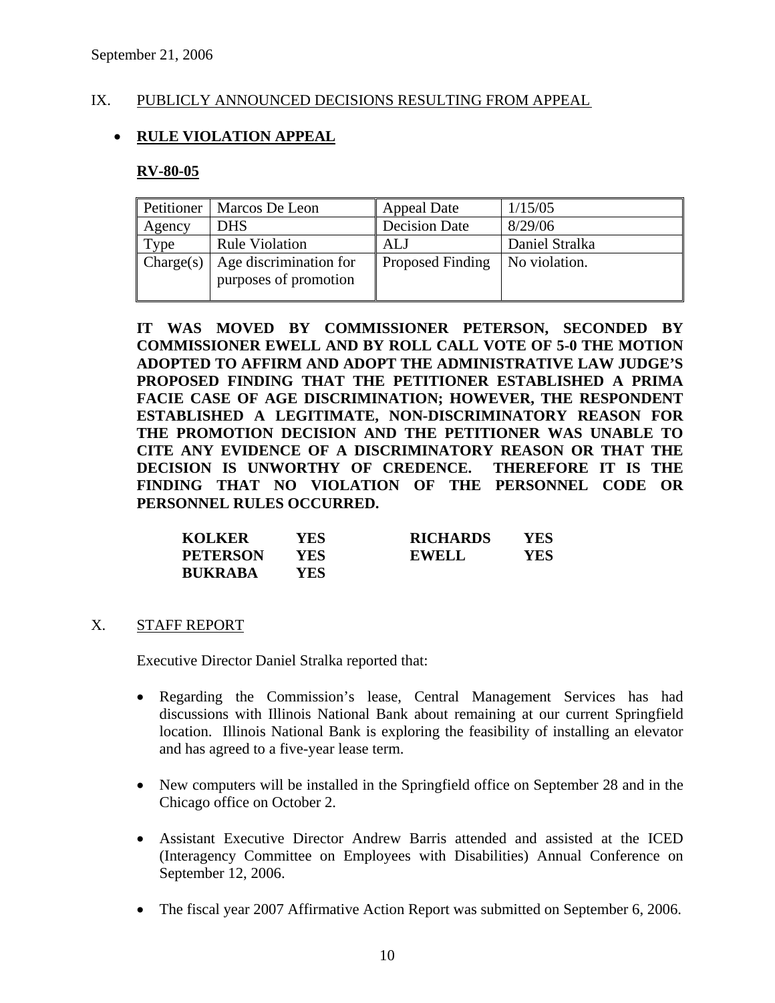### IX. PUBLICLY ANNOUNCED DECISIONS RESULTING FROM APPEAL

# • **RULE VIOLATION APPEAL**

#### **RV-80-05**

| Petitioner | Marcos De Leon                                  | <b>Appeal Date</b>   | 1/15/05        |
|------------|-------------------------------------------------|----------------------|----------------|
| Agency     | <b>DHS</b>                                      | <b>Decision Date</b> | 8/29/06        |
| Type       | <b>Rule Violation</b>                           | <b>ALJ</b>           | Daniel Stralka |
| Change(s)  | Age discrimination for<br>purposes of promotion | Proposed Finding     | No violation.  |

**IT WAS MOVED BY COMMISSIONER PETERSON, SECONDED BY COMMISSIONER EWELL AND BY ROLL CALL VOTE OF 5-0 THE MOTION ADOPTED TO AFFIRM AND ADOPT THE ADMINISTRATIVE LAW JUDGE'S PROPOSED FINDING THAT THE PETITIONER ESTABLISHED A PRIMA FACIE CASE OF AGE DISCRIMINATION; HOWEVER, THE RESPONDENT ESTABLISHED A LEGITIMATE, NON-DISCRIMINATORY REASON FOR THE PROMOTION DECISION AND THE PETITIONER WAS UNABLE TO CITE ANY EVIDENCE OF A DISCRIMINATORY REASON OR THAT THE DECISION IS UNWORTHY OF CREDENCE. THEREFORE IT IS THE FINDING THAT NO VIOLATION OF THE PERSONNEL CODE OR PERSONNEL RULES OCCURRED.** 

| <b>KOLKER</b>   | YES | <b>RICHARDS</b> | YES |
|-----------------|-----|-----------------|-----|
| <b>PETERSON</b> | YES | <b>EWELL</b>    | YES |
| <b>BUKRABA</b>  | YES |                 |     |

X. STAFF REPORT

Executive Director Daniel Stralka reported that:

- Regarding the Commission's lease, Central Management Services has had discussions with Illinois National Bank about remaining at our current Springfield location. Illinois National Bank is exploring the feasibility of installing an elevator and has agreed to a five-year lease term.
- New computers will be installed in the Springfield office on September 28 and in the Chicago office on October 2.
- Assistant Executive Director Andrew Barris attended and assisted at the ICED (Interagency Committee on Employees with Disabilities) Annual Conference on September 12, 2006.
- The fiscal year 2007 Affirmative Action Report was submitted on September 6, 2006.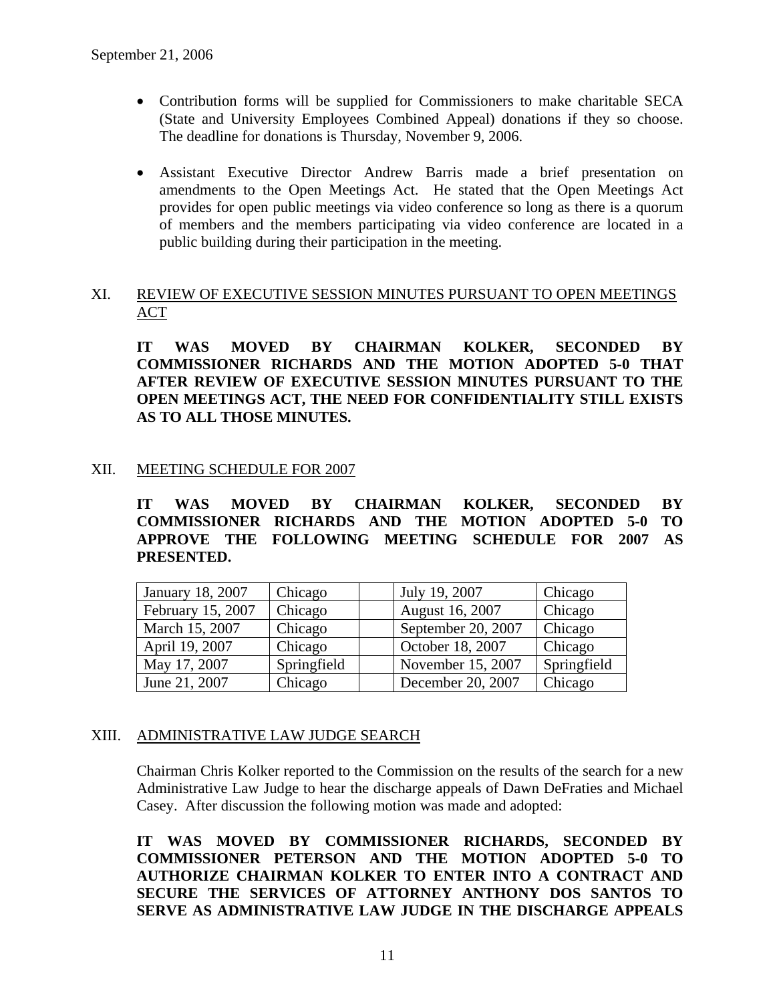- Contribution forms will be supplied for Commissioners to make charitable SECA (State and University Employees Combined Appeal) donations if they so choose. The deadline for donations is Thursday, November 9, 2006.
- Assistant Executive Director Andrew Barris made a brief presentation on amendments to the Open Meetings Act. He stated that the Open Meetings Act provides for open public meetings via video conference so long as there is a quorum of members and the members participating via video conference are located in a public building during their participation in the meeting.

## XI. REVIEW OF EXECUTIVE SESSION MINUTES PURSUANT TO OPEN MEETINGS ACT

**IT WAS MOVED BY CHAIRMAN KOLKER, SECONDED BY COMMISSIONER RICHARDS AND THE MOTION ADOPTED 5-0 THAT AFTER REVIEW OF EXECUTIVE SESSION MINUTES PURSUANT TO THE OPEN MEETINGS ACT, THE NEED FOR CONFIDENTIALITY STILL EXISTS AS TO ALL THOSE MINUTES.** 

# XII. MEETING SCHEDULE FOR 2007

**IT WAS MOVED BY CHAIRMAN KOLKER, SECONDED BY COMMISSIONER RICHARDS AND THE MOTION ADOPTED 5-0 TO APPROVE THE FOLLOWING MEETING SCHEDULE FOR 2007 AS PRESENTED.** 

| January 18, 2007  | Chicago     | July 19, 2007      | Chicago     |
|-------------------|-------------|--------------------|-------------|
| February 15, 2007 | Chicago     | August 16, 2007    | Chicago     |
| March 15, 2007    | Chicago     | September 20, 2007 | Chicago     |
| April 19, 2007    | Chicago     | October 18, 2007   | Chicago     |
| May 17, 2007      | Springfield | November 15, 2007  | Springfield |
| June 21, 2007     | Chicago     | December 20, 2007  | Chicago     |

# XIII. ADMINISTRATIVE LAW JUDGE SEARCH

Chairman Chris Kolker reported to the Commission on the results of the search for a new Administrative Law Judge to hear the discharge appeals of Dawn DeFraties and Michael Casey. After discussion the following motion was made and adopted:

**IT WAS MOVED BY COMMISSIONER RICHARDS, SECONDED BY COMMISSIONER PETERSON AND THE MOTION ADOPTED 5-0 TO AUTHORIZE CHAIRMAN KOLKER TO ENTER INTO A CONTRACT AND SECURE THE SERVICES OF ATTORNEY ANTHONY DOS SANTOS TO SERVE AS ADMINISTRATIVE LAW JUDGE IN THE DISCHARGE APPEALS**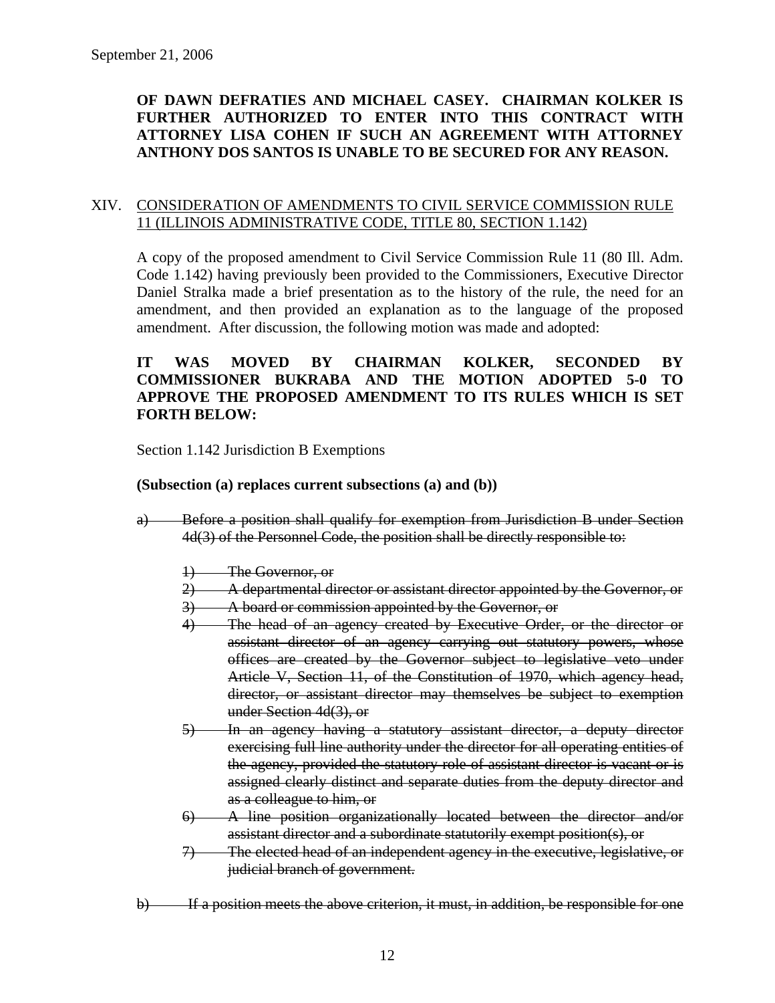# **OF DAWN DEFRATIES AND MICHAEL CASEY. CHAIRMAN KOLKER IS FURTHER AUTHORIZED TO ENTER INTO THIS CONTRACT WITH ATTORNEY LISA COHEN IF SUCH AN AGREEMENT WITH ATTORNEY ANTHONY DOS SANTOS IS UNABLE TO BE SECURED FOR ANY REASON.**

#### XIV. CONSIDERATION OF AMENDMENTS TO CIVIL SERVICE COMMISSION RULE 11 (ILLINOIS ADMINISTRATIVE CODE, TITLE 80, SECTION 1.142)

A copy of the proposed amendment to Civil Service Commission Rule 11 (80 Ill. Adm. Code 1.142) having previously been provided to the Commissioners, Executive Director Daniel Stralka made a brief presentation as to the history of the rule, the need for an amendment, and then provided an explanation as to the language of the proposed amendment. After discussion, the following motion was made and adopted:

## **IT WAS MOVED BY CHAIRMAN KOLKER, SECONDED BY COMMISSIONER BUKRABA AND THE MOTION ADOPTED 5-0 TO APPROVE THE PROPOSED AMENDMENT TO ITS RULES WHICH IS SET FORTH BELOW:**

Section 1.142 Jurisdiction B Exemptions

#### **(Subsection (a) replaces current subsections (a) and (b))**

- a) Before a position shall qualify for exemption from Jurisdiction B under Section 4d(3) of the Personnel Code, the position shall be directly responsible to:
	- 1) The Governor, or
	- 2) A departmental director or assistant director appointed by the Governor, or
	- 3) A board or commission appointed by the Governor, or
	- 4) The head of an agency created by Executive Order, or the director or assistant director of an agency carrying out statutory powers, whose offices are created by the Governor subject to legislative veto under Article V, Section 11, of the Constitution of 1970, which agency head, director, or assistant director may themselves be subject to exemption under Section 4d(3), or
	- 5) In an agency having a statutory assistant director, a deputy director exercising full line authority under the director for all operating entities of the agency, provided the statutory role of assistant director is vacant or is assigned clearly distinct and separate duties from the deputy director and as a colleague to him, or
	- 6) A line position organizationally located between the director and/or assistant director and a subordinate statutorily exempt position(s), or
	- 7) The elected head of an independent agency in the executive, legislative, or judicial branch of government.
- b) If a position meets the above criterion, it must, in addition, be responsible for one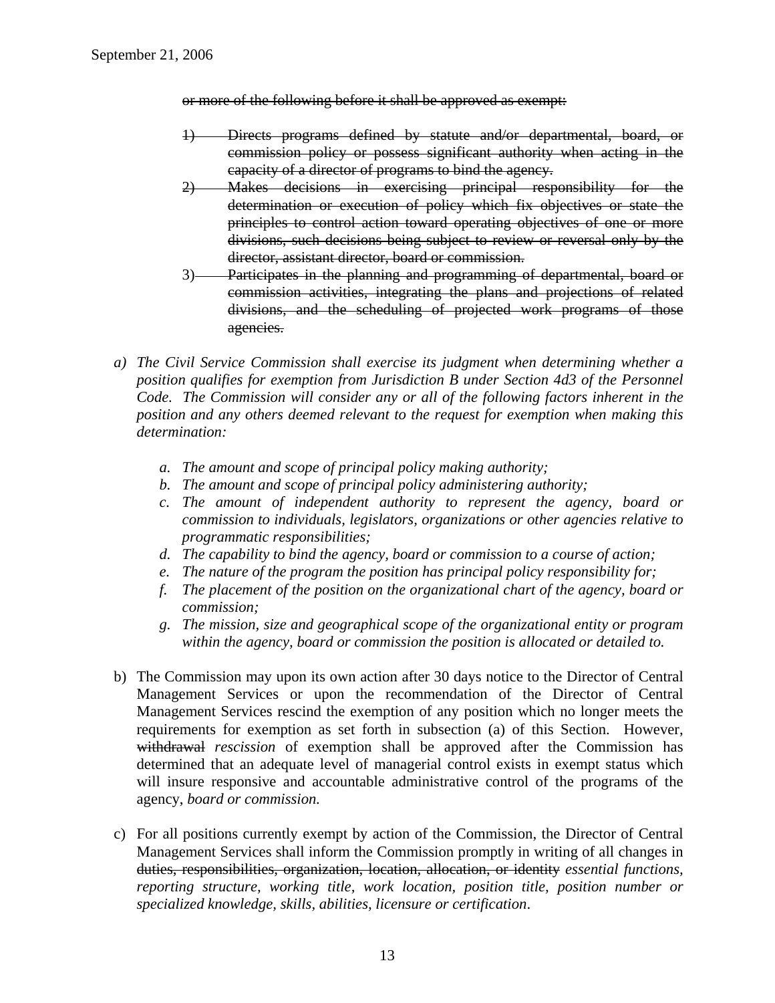or more of the following before it shall be approved as exempt:

- 1) Directs programs defined by statute and/or departmental, board, or commission policy or possess significant authority when acting in the capacity of a director of programs to bind the agency.
- 2) Makes decisions in exercising principal responsibility for the determination or execution of policy which fix objectives or state the principles to control action toward operating objectives of one or more divisions, such decisions being subject to review or reversal only by the director, assistant director, board or commission.
- 3) Participates in the planning and programming of departmental, board or commission activities, integrating the plans and projections of related divisions, and the scheduling of projected work programs of those agencies.
- *a) The Civil Service Commission shall exercise its judgment when determining whether a position qualifies for exemption from Jurisdiction B under Section 4d3 of the Personnel Code. The Commission will consider any or all of the following factors inherent in the position and any others deemed relevant to the request for exemption when making this determination:* 
	- *a. The amount and scope of principal policy making authority;*
	- *b. The amount and scope of principal policy administering authority;*
	- *c. The amount of independent authority to represent the agency, board or commission to individuals, legislators, organizations or other agencies relative to programmatic responsibilities;*
	- *d. The capability to bind the agency, board or commission to a course of action;*
	- *e. The nature of the program the position has principal policy responsibility for;*
	- *f. The placement of the position on the organizational chart of the agency, board or commission;*
	- *g. The mission, size and geographical scope of the organizational entity or program within the agency, board or commission the position is allocated or detailed to.*
- b) The Commission may upon its own action after 30 days notice to the Director of Central Management Services or upon the recommendation of the Director of Central Management Services rescind the exemption of any position which no longer meets the requirements for exemption as set forth in subsection (a) of this Section. However, withdrawal *rescission* of exemption shall be approved after the Commission has determined that an adequate level of managerial control exists in exempt status which will insure responsive and accountable administrative control of the programs of the agency, *board or commission.*
- c) For all positions currently exempt by action of the Commission, the Director of Central Management Services shall inform the Commission promptly in writing of all changes in duties, responsibilities, organization, location, allocation, or identity *essential functions, reporting structure, working title, work location, position title, position number or specialized knowledge, skills, abilities, licensure or certification*.